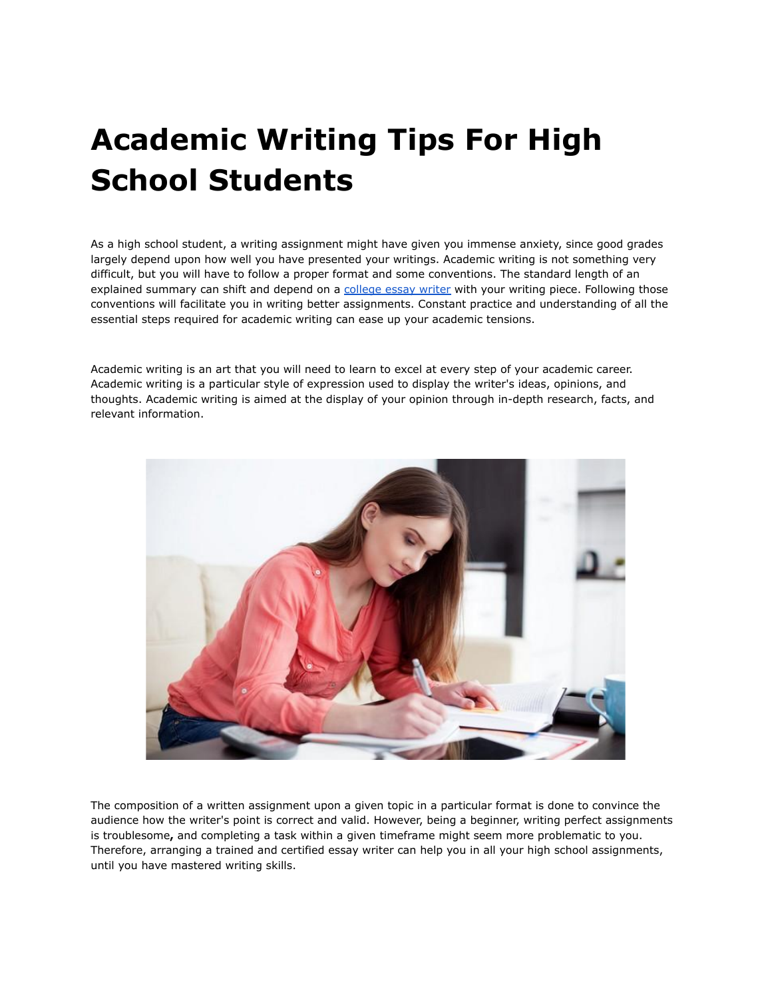# **Academic Writing Tips For High School Students**

As a high school student, a writing assignment might have given you immense anxiety, since good grades largely depend upon how well you have presented your writings. Academic writing is not something very difficult, but you will have to follow a proper format and some conventions. The standard length of an explained summary can shift and depend on a [college](https://youressaywriter.net/) essay writer with your writing piece. Following those conventions will facilitate you in writing better assignments. Constant practice and understanding of all the essential steps required for academic writing can ease up your academic tensions.

Academic writing is an art that you will need to learn to excel at every step of your academic career. Academic writing is a particular style of expression used to display the writer's ideas, opinions, and thoughts. Academic writing is aimed at the display of your opinion through in-depth research, facts, and relevant information.



The composition of a written assignment upon a given topic in a particular format is done to convince the audience how the writer's point is correct and valid. However, being a beginner, writing perfect assignments is troublesome**,** and completing a task within a given timeframe might seem more problematic to you. Therefore, arranging a trained and certified essay writer can help you in all your high school assignments, until you have mastered writing skills.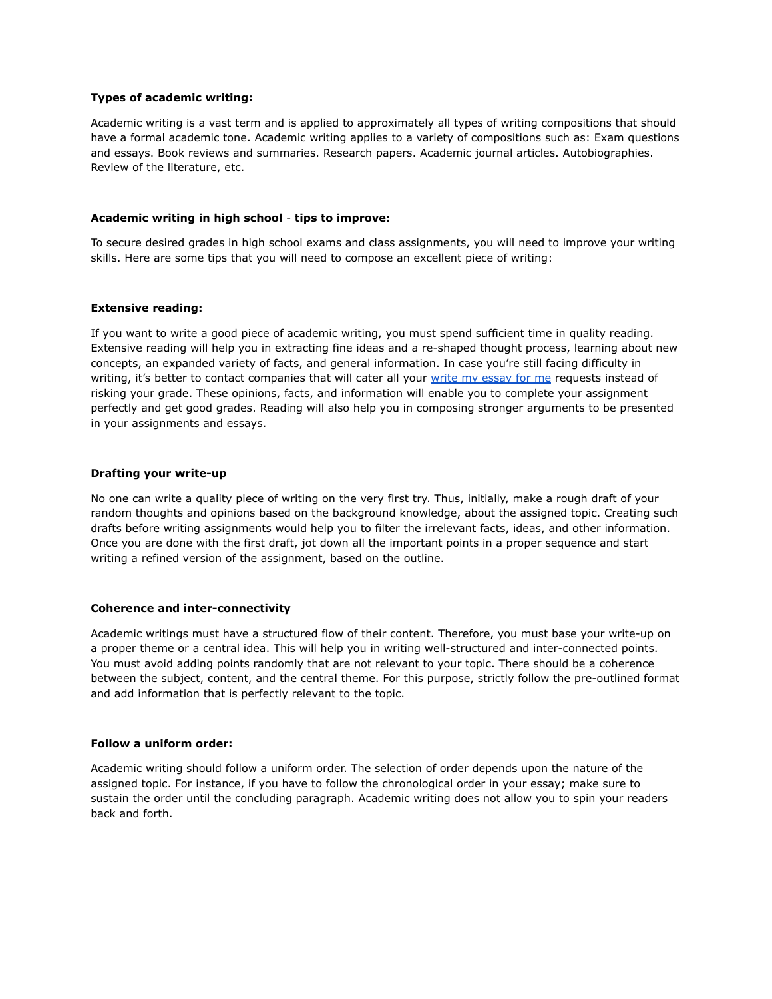# **Types of academic writing:**

Academic writing is a vast term and is applied to approximately all types of writing compositions that should have a formal academic tone. Academic writing applies to a variety of compositions such as: Exam questions and essays. Book reviews and summaries. Research papers. Academic journal articles. Autobiographies. Review of the literature, etc.

# **Academic writing in high school** - **tips to improve:**

To secure desired grades in high school exams and class assignments, you will need to improve your writing skills. Here are some tips that you will need to compose an excellent piece of writing:

# **Extensive reading:**

If you want to write a good piece of academic writing, you must spend sufficient time in quality reading. Extensive reading will help you in extracting fine ideas and a re-shaped thought process, learning about new concepts, an expanded variety of facts, and general information. In case you're still facing difficulty in writing, it's better to contact companies that will cater all your write my [essay](https://writemyessayfast.net/) for me requests instead of risking your grade. These opinions, facts, and information will enable you to complete your assignment perfectly and get good grades. Reading will also help you in composing stronger arguments to be presented in your assignments and essays.

# **Drafting your write-up**

No one can write a quality piece of writing on the very first try. Thus, initially, make a rough draft of your random thoughts and opinions based on the background knowledge, about the assigned topic. Creating such drafts before writing assignments would help you to filter the irrelevant facts, ideas, and other information. Once you are done with the first draft, jot down all the important points in a proper sequence and start writing a refined version of the assignment, based on the outline.

# **Coherence and inter-connectivity**

Academic writings must have a structured flow of their content. Therefore, you must base your write-up on a proper theme or a central idea. This will help you in writing well-structured and inter-connected points. You must avoid adding points randomly that are not relevant to your topic. There should be a coherence between the subject, content, and the central theme. For this purpose, strictly follow the pre-outlined format and add information that is perfectly relevant to the topic.

# **Follow a uniform order:**

Academic writing should follow a uniform order. The selection of order depends upon the nature of the assigned topic. For instance, if you have to follow the chronological order in your essay; make sure to sustain the order until the concluding paragraph. Academic writing does not allow you to spin your readers back and forth.